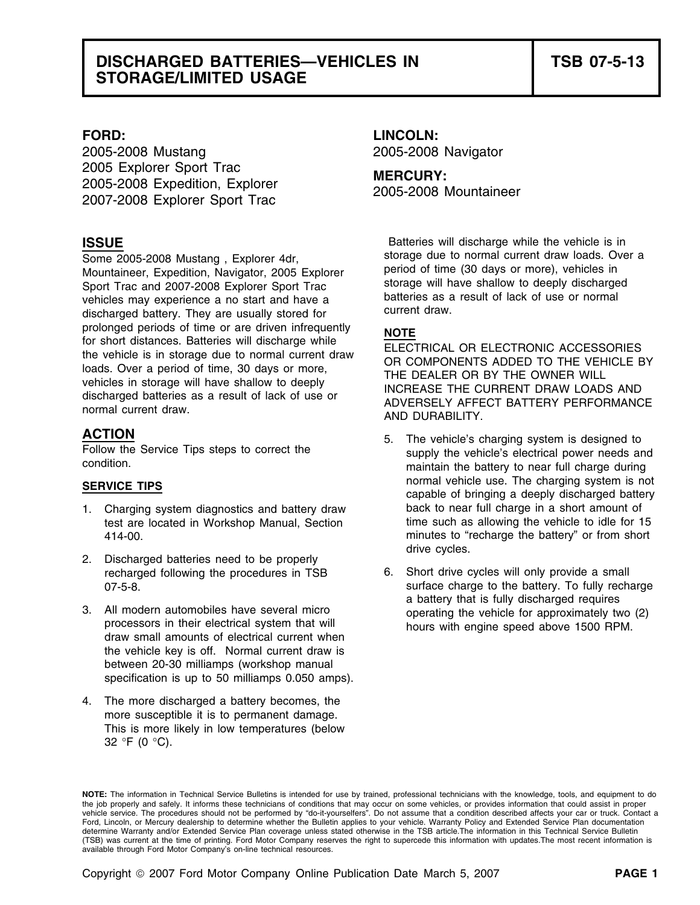### **DISCHARGED BATTERIES—VEHICLES IN TSB 07-5-13 STORAGE/LIMITED USAGE**

2005-2008 Mustang 2005-2008 Navigator 2005 Explorer Sport Trac **MERCURY:**<br>
2005-2008 Expedition, Explorer **1998 Explorer Sport Trac** 2005-2008 Mountaineer

Mountaineer, Expedition, Navigator, 2005 Explorer period of time (30 days or more), vehicles in Sport Trac and 2007-2008 Explorer Sport Trac storage will have shallow to deeply discharge<br>vehicles may experience a no start and have a starteries as a result of lack of use or normal vehicles may experience a no start and have a **cultum** vehicles as a discharged battery. They are usually stored for prolonged periods of time or are driven infrequently<br>
for short distances. Batteries will discharge while<br>
the vehicle is in storage due to normal current draw<br>
loads. Over a period of time, 30 days or more,<br>
vehicles in s

- test are located in Workshop Manual, Section
- drive cycles. 2. Discharged batteries need to be properly
- the vehicle key is off. Normal current draw is between 20-30 milliamps (workshop manual specification is up to 50 milliamps 0.050 amps).
- 4. The more discharged a battery becomes, the more susceptible it is to permanent damage. This is more likely in low temperatures (below 32 °F (0 °C).

# **FORD: LINCOLN:**

**ISSUE Batteries will discharge while the vehicle is in** Batteries will discharge while the vehicle is in Some 2005-2008 Mustang, Explorer 4dr,<br>Mountaineer Expedition Navigator 2005 Explorer period of time (30 days or more), vehicles in

- **ACTION**<br>
Follow the Service Tips steps to correct the supply the vehicle's charging system is designed to<br>
condition.<br>
maintain the battery to near full charge during<br>
maintain the battery to near full charge during **SERVICE TIPS**<br> **SERVICE TIPS** capable of bringing a deeply discharged battery<br> **Capable of bringing a deeply discharged battery** 1. Charging system diagnostics and battery draw back to near full charge in a short amount of test are located in Workshop Manual. Section time such as allowing the vehicle to idle for 15 414-00. minutes to "recharge the battery" or from short
- recharged following the procedures in TSB 6. Short drive cycles will only provide a small 07-5-8. COVERSITY CONTROLLED SUPPORTIVE CONTROLLED SUPPORTION SUPPORTION SUPPORTION OF THE BATTERY OF THE BATTERY OF THE BATTERY OF THE BATTERY OF THE BATTERY OF THE BATTERY OF THE BATTERY OF THE BATTERY OF THE BATTERY OF 3. All modern automobiles have several micro<br>processors in their electrical system that will<br>draw small amounts of electrical current when<br>draw small amounts of electrical current when

**NOTE:** The information in Technical Service Bulletins is intended for use by trained, professional technicians with the knowledge, tools, and equipment to do the job properly and safely. It informs these technicians of conditions that may occur on some vehicles, or provides information that could assist in proper vehicle service. The procedures should not be performed by "do-it-yourselfers". Do not assume that a condition described affects your car or truck. Contact a Ford, Lincoln, or Mercury dealership to determine whether the Bulletin applies to your vehicle. Warranty Policy and Extended Service Plan documentation determine Warranty and/or Extended Service Plan coverage unless stated otherwise in the TSB article.The information in this Technical Service Bulletin (TSB) was current at the time of printing. Ford Motor Company reserves the right to supercede this information with updates.The most recent information is available through Ford Motor Company's on-line technical resources.